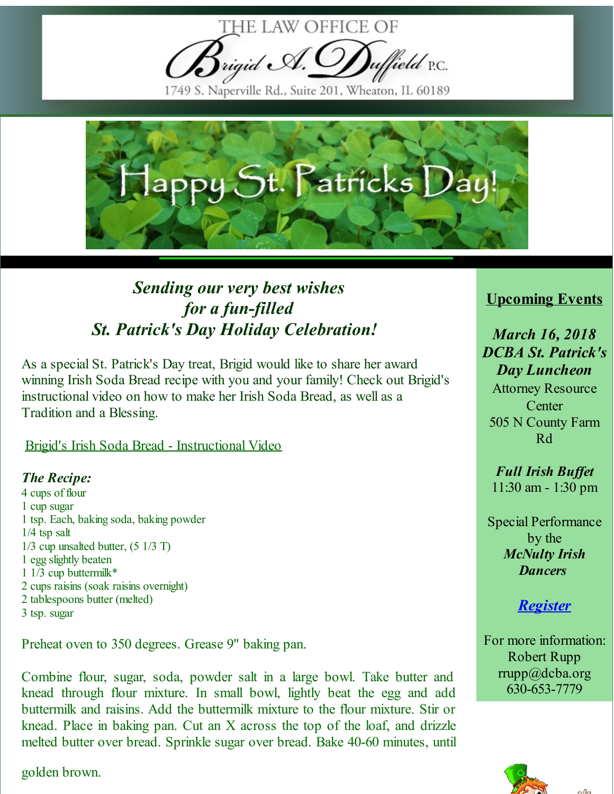

1749 S. Naperville Rd., Suite 201, Wheaton, IL 60189



## *Sending our very best wishes for a fun-filled St. Patrick's Day Holiday Celebration!*

As a special St. Patrick's Day treat, Brigid would like to share her award winning Irish Soda Bread recipe with you and your family! Check out Brigid's instructional video on how to make her Irish Soda Bread, as well as a Tradition and a Blessing.

Brigid's Irish Soda Bread - [Instructional](http://r20.rs6.net/tn.jsp?f=001SxotkWQ_hhmESO0BMWZNNaN0y2mfc7mwR3ksNlwMjZQMas7Ymk_wAQRJr7meUAZwK--SAqTWRSMAqsRGMa4cJXAohJMLB70SzduZe5gFYiAQ_oyfzd8BRANwg8bEqDfKa48npl9CRKapnThWzQ-KDBmrB-oOPeI5XwCnExidspgd4u5rhwazz2dmz0jsYTr7RBhsCh_Lia21aNPcsxf1xw==&c=&ch=) Video

## *The Recipe:*

 cups of flour cup sugar tsp. Each, baking soda, baking powder 1/4 tsp salt 1/3 cup unsalted butter, (5 1/3 T) egg slightly beaten 1/3 cup buttermilk\* cups raisins (soak raisins overnight) tablespoons butter (melted) tsp. sugar

Preheat oven to 350 degrees. Grease 9" baking pan.

Combine flour, sugar, soda, powder salt in a large bowl. Take butter and knead through flour mixture. In small bowl, lightly beat the egg and add buttermilk and raisins. Add the buttermilk mixture to the flour mixture. Stir or knead. Place in baking pan. Cut an X across the top of the loaf, and drizzle melted butter over bread. Sprinkle sugar over bread. Bake 40-60 minutes, until

golden brown.

## **Upcoming Events**

*March 16, 2018 DCBA St. Patrick's Day Luncheon*

Attorney Resource **Center** 505 N County Farm Rd

*Full Irish Buffet* 11:30 am - 1:30 pm

Special Performance by the *McNulty Irish Dancers*

*[Register](http://r20.rs6.net/tn.jsp?f=001SxotkWQ_hhmESO0BMWZNNaN0y2mfc7mwR3ksNlwMjZQMas7Ymk_wAQRJr7meUAZwZRj80z9X-oqaPjtQ5kBTPgcII_u0oCwE2fv8qVKDhlTBBw_uAUIZlc3ooqdy1Dq4yltmzuVePybrQ1wbSXOdJnrGdbnfFM2KNgKwyKiVvSODZIOOgAQIm8x3BngaSDrTl6kgzxg_Upz7GMdXWeYEiYEyzHXC1B5NJjKClyGbBkc5bo4uZYlgd6xuBJ3gDTzPy1hEoVQCUbjhfsVcB2MCaeV8Ii8YjIPP23hllhojVbio-7Oemvg_9nptaNw8WQ-z3k195M51f82eF8i8X826ZWscUCLqwI9t0vJ7f9u38K7tJ7q2GP9-7U9Cw3_aoI_G&c=&ch=)*

For more information: Robert Rupp rrupp@dcba.org 630-653-7779

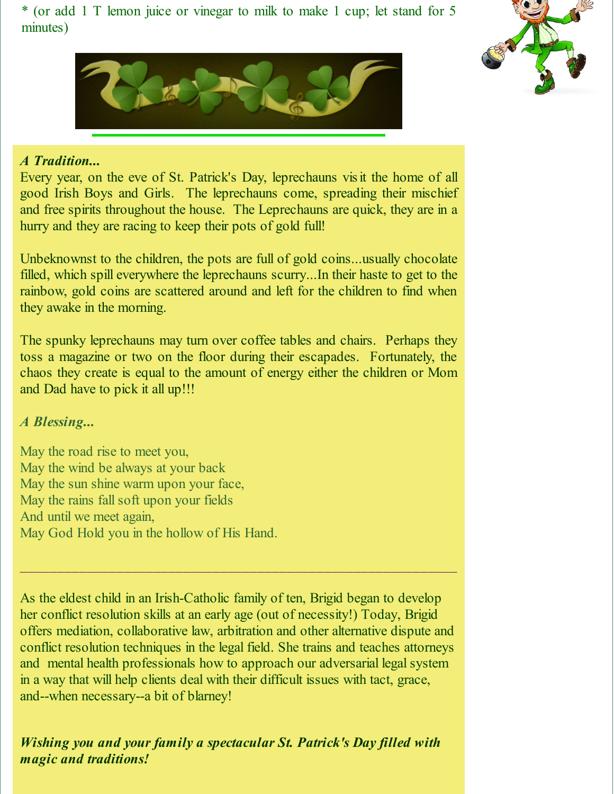\* (or add 1 T lemon juice or vinegar to milk to make 1 cup; let stand for 5 minutes)





## *A Tradition...*

Every year, on the eve of St. Patrick's Day, leprechauns visit the home of all good Irish Boys and Girls. The leprechauns come, spreading their mischief and free spirits throughout the house. The Leprechauns are quick, they are in a hurry and they are racing to keep their pots of gold full!

Unbeknownst to the children, the pots are full of gold coins...usually chocolate filled, which spill everywhere the leprechauns scurry...In their haste to get to the rainbow, gold coins are scattered around and left for the children to find when they awake in the morning.

The spunky leprechauns may turn over coffee tables and chairs. Perhaps they toss a magazine or two on the floor during their escapades. Fortunately, the chaos they create is equal to the amount of energy either the children or Mom and Dad have to pick it all up!!!

*A Blessing...*

May the road rise to meet you, May the wind be always at your back May the sun shine warm upon your face, May the rains fall soft upon your fields And until we meet again, May God Hold you in the hollow of His Hand.

As the eldest child in an Irish-Catholic family of ten, Brigid began to develop her conflict resolution skills at an early age (out of necessity!) Today, Brigid offers mediation, collaborative law, arbitration and other alternative dispute and conflict resolution techniques in the legal field. She trains and teaches attorneys and mental health professionals how to approach our adversarial legal system in a way that will help clients deal with their difficult issues with tact, grace, and--when necessary--a bit of blarney!

 $\mathcal{L}_\text{max}$  , and the contribution of the contribution of the contribution of the contribution of the contribution of the contribution of the contribution of the contribution of the contribution of the contribution of t

*Wishing you and your family a spectacular St. Patrick's Day filled with magic and traditions!*